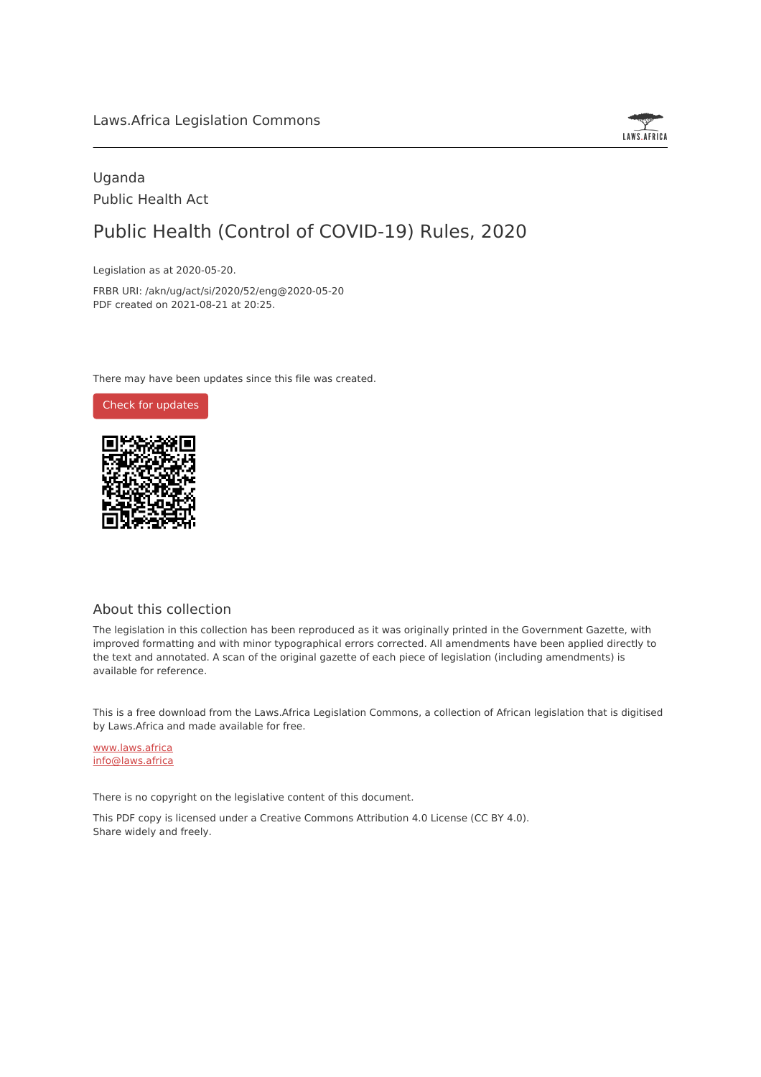

## Uganda Public Health Act

# Public Health (Control of COVID-19) Rules, 2020

Legislation as at 2020-05-20.

FRBR URI: /akn/ug/act/si/2020/52/eng@2020-05-20 PDF created on 2021-08-21 at 20:25.

There may have been updates since this file was created.

Check for [updates](https://commons.laws.africa/akn/ug/act/si/2020/52/eng@2020-05-20?ts=2021-08-21T20:25:16.277808+00:00)



## About this collection

The legislation in this collection has been reproduced as it was originally printed in the Government Gazette, with improved formatting and with minor typographical errors corrected. All amendments have been applied directly to the text and annotated. A scan of the original gazette of each piece of legislation (including amendments) is available for reference.

This is a free download from the Laws.Africa Legislation Commons, a collection of African legislation that is digitised by Laws.Africa and made available for free.

[www.laws.africa](https://www.laws.africa) [info@laws.africa](mailto:info@laws.africa)

There is no copyright on the legislative content of this document.

This PDF copy is licensed under a Creative Commons Attribution 4.0 License (CC BY 4.0). Share widely and freely.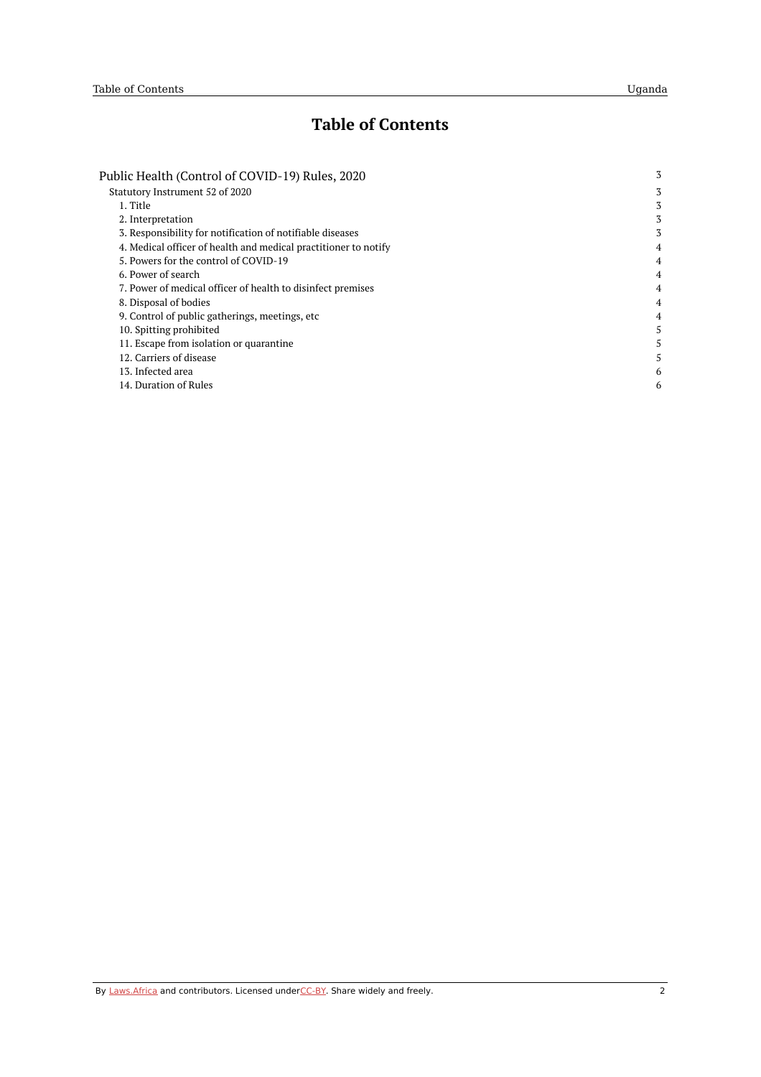## **Table of Contents**

| Public Health (Control of COVID-19) Rules, 2020                 | 3              |
|-----------------------------------------------------------------|----------------|
| Statutory Instrument 52 of 2020                                 | 3              |
| 1. Title                                                        | 3              |
| 2. Interpretation                                               | 3              |
| 3. Responsibility for notification of notifiable diseases       | 3              |
| 4. Medical officer of health and medical practitioner to notify | 4              |
| 5. Powers for the control of COVID-19                           | $\overline{4}$ |
| 6. Power of search                                              | 4              |
| 7. Power of medical officer of health to disinfect premises     | 4              |
| 8. Disposal of bodies                                           | 4              |
| 9. Control of public gatherings, meetings, etc.                 | 4              |
| 10. Spitting prohibited                                         | 5              |
| 11. Escape from isolation or quarantine                         | 5              |
| 12. Carriers of disease                                         | 5              |
| 13. Infected area                                               | 6              |
| 14. Duration of Rules                                           | 6              |
|                                                                 |                |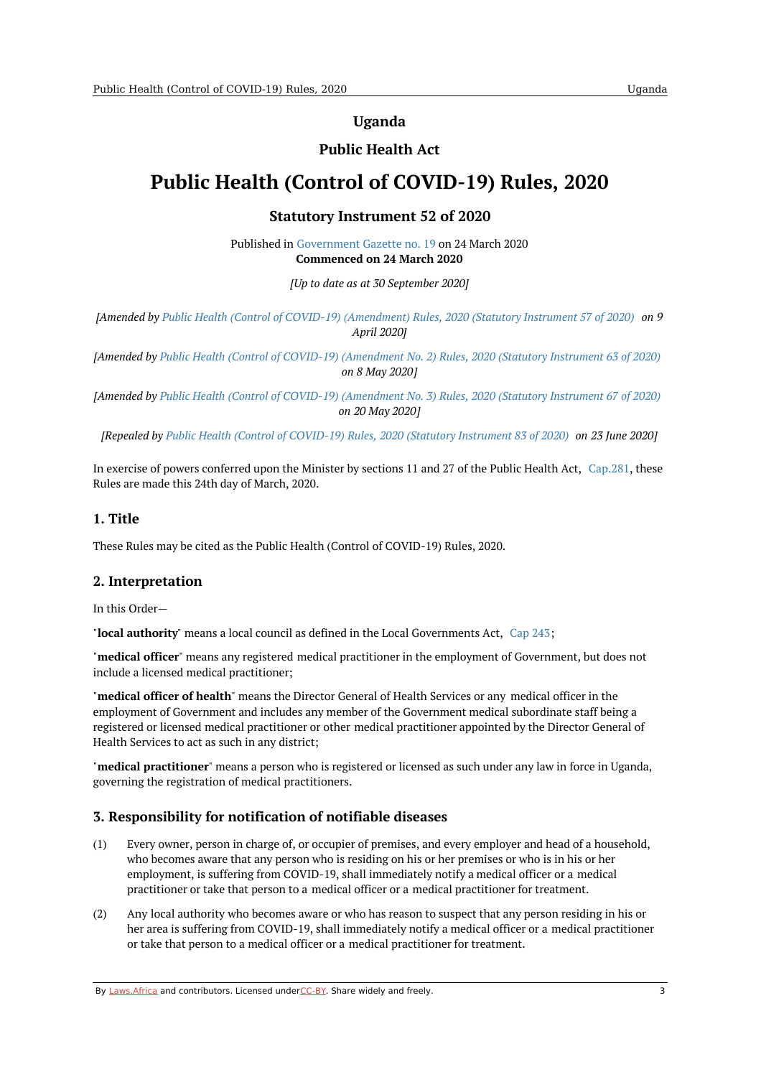### **Uganda**

## **Public Health Act**

## <span id="page-2-1"></span><span id="page-2-0"></span>**Public Health (Control of COVID-19) Rules, 2020**

## **Statutory Instrument 52 of 2020**

Published in [Government](https://commons.laws.africa/akn/ug/act/si/2020/52/media/publication/ug-act-si-2020-52-publication-document.pdf) Gazette no. 19 on 24 March 2020 **Commenced on 24 March 2020**

*[Up to date as at 30 September 2020]*

[Amended by Public Health (Control of COVID-19) [\(Amendment\)](https://africanlii.org/akn/ug/act/si/2020/57) Rules, 2020 (Statutory Instrument 57 of 2020) on 9 *April 2020]*

[Amended by Public Health (Control of COVID-19) [\(Amendment](https://africanlii.org/akn/ug/act/si/2020/63) No. 2) Rules, 2020 (Statutory Instrument 63 of 2020) *on 8 May 2020]*

[Amended by Public Health (Control of COVID-19) [\(Amendment](https://africanlii.org/akn/ug/act/si/2020/67) No. 3) Rules, 2020 (Statutory Instrument 67 of 2020) *on 20 May 2020]*

[Repealed by Public Health (Control of [COVID-19\)](https://africanlii.org/akn/ug/act/si/2020/83) Rules, 2020 (Statutory Instrument 83 of 2020) on 23 June 2020]

In exercise of powers conferred upon the Minister by sections 11 and 27 of the Public Health Act, [Cap.281](https://africanlii.org/akn/ug/act/ord/1935/13), these Rules are made this 24th day of March, 2020.

#### <span id="page-2-2"></span>**1. Title**

These Rules may be cited as the Public Health (Control of COVID-19) Rules, 2020.

#### <span id="page-2-3"></span>**2. Interpretation**

In this Order—

"**local authority**" means a local council as defined in the Local Governments Act, [Cap](https://africanlii.org/akn/ug/act/1997/5) 243;

"**medical officer**" means any registered medical practitioner in the employment of Government, but does not include a licensed medical practitioner;

"**medical officer of health**" means the Director General of Health Services or any medical officer in the employment of Government and includes any member of the Government medical subordinate staff being a registered or licensed medical practitioner or other medical practitioner appointed by the Director General of Health Services to act as such in any district;

"**medical practitioner**" means a person who is registered or licensed as such under any law in force in Uganda, governing the registration of medical practitioners.

#### <span id="page-2-4"></span>**3. Responsibility for notification of notifiable diseases**

- (1) Every owner, person in charge of, or occupier of premises, and every employer and head of a household, who becomes aware that any person who is residing on his or her premises or who is in his or her employment, is suffering from COVID-19, shall immediately notify a medical officer or a medical practitioner or take that person to a medical officer or a medical practitioner for treatment.
- (2) Any local authority who becomes aware or who has reason to suspect that any person residing in his or her area is suffering from COVID-19, shall immediately notify a medical officer or a medical practitioner or take that person to a medical officer or a medical practitioner for treatment.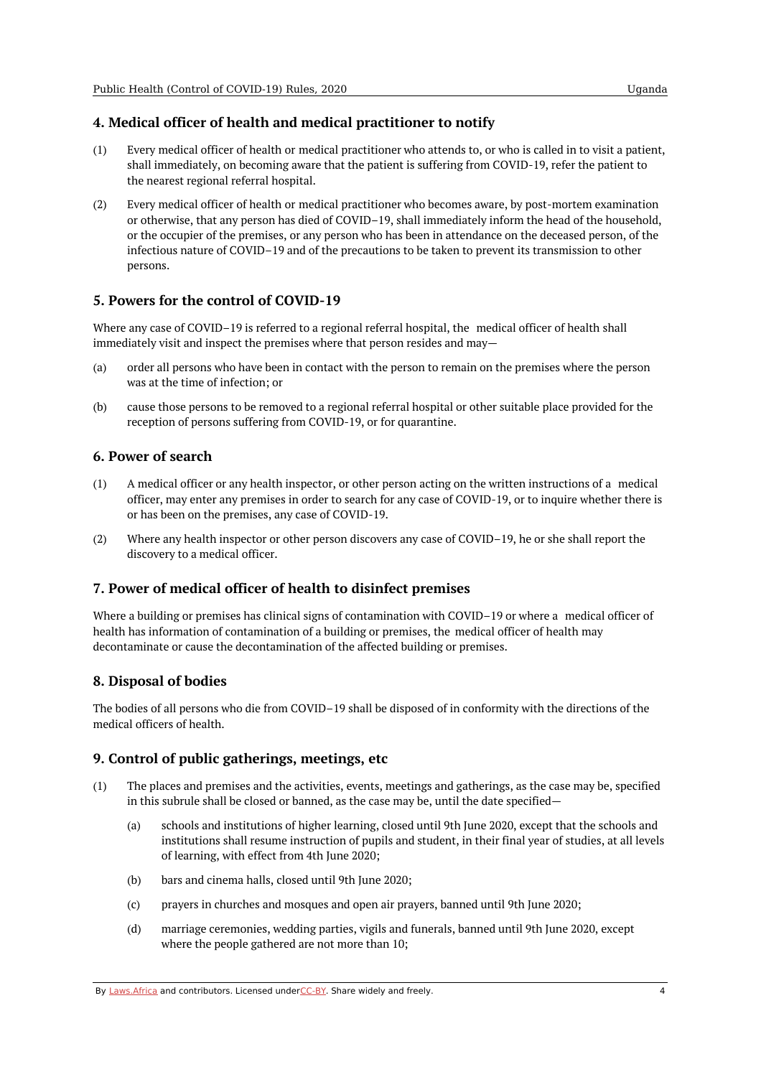## <span id="page-3-0"></span>**4. Medical officer of health and medical practitioner to notify**

- $(1)$ Every medical officer of health or medical practitioner who attends to, or who is called in to visit a patient, shall immediately, on becoming aware that the patient is suffering from COVID-19, refer the patient to the nearest regional referral hospital.
- (2) Every medical officer of health or medical practitioner who becomes aware, by post-mortem examination or otherwise, that any person has died of COVID–19, shall immediately inform the head of the household, or the occupier of the premises, or any person who has been in attendance on the deceased person, of the infectious nature of COVID–19 and of the precautions to be taken to prevent its transmission to other persons.

## <span id="page-3-1"></span>**5. Powers for the control of COVID-19**

Where any case of COVID–19 is referred to a regional referral hospital, the medical officer of health shall immediately visit and inspect the premises where that person resides and may—

- (a) order all persons who have been in contact with the person to remain on the premises where the person was at the time of infection; or
- $(h)$ cause those persons to be removed to a regional referral hospital or other suitable place provided for the reception of persons suffering from COVID-19, or for quarantine.

## <span id="page-3-2"></span>**6. Power of search**

- (1) A medical officer or any health inspector, or other person acting on the written instructions of a medical officer, may enter any premises in order to search for any case of COVID-19, or to inquire whether there is or has been on the premises, any case of COVID-19.
- (2) Where any health inspector or other person discovers any case of COVID–19, he or she shall report the discovery to a medical officer.

## <span id="page-3-3"></span>**7. Power of medical officer of health to disinfect premises**

Where a building or premises has clinical signs of contamination with COVID–19 or where a medical officer of health has information of contamination of a building or premises, the medical officer of health may decontaminate or cause the decontamination of the affected building or premises.

## <span id="page-3-4"></span>**8. Disposal of bodies**

The bodies of all persons who die from COVID–19 shall be disposed of in conformity with the directions of the medical officers of health.

## <span id="page-3-5"></span>**9. Control of public gatherings, meetings, etc**

- (1) The places and premises and the activities, events, meetings and gatherings, as the case may be, specified in this subrule shall be closed or banned, as the case may be, until the date specified—
	- (a) schools and institutions of higher learning, closed until 9th June 2020, except that the schools and institutions shall resume instruction of pupils and student, in their final year of studies, at all levels of learning, with effect from 4th June 2020;
	- (b) bars and cinema halls, closed until 9th June 2020;
	- (c) prayers in churches and mosques and open air prayers, banned until 9th June 2020;
	- (d) marriage ceremonies, wedding parties, vigils and funerals, banned until 9th June 2020, except where the people gathered are not more than 10;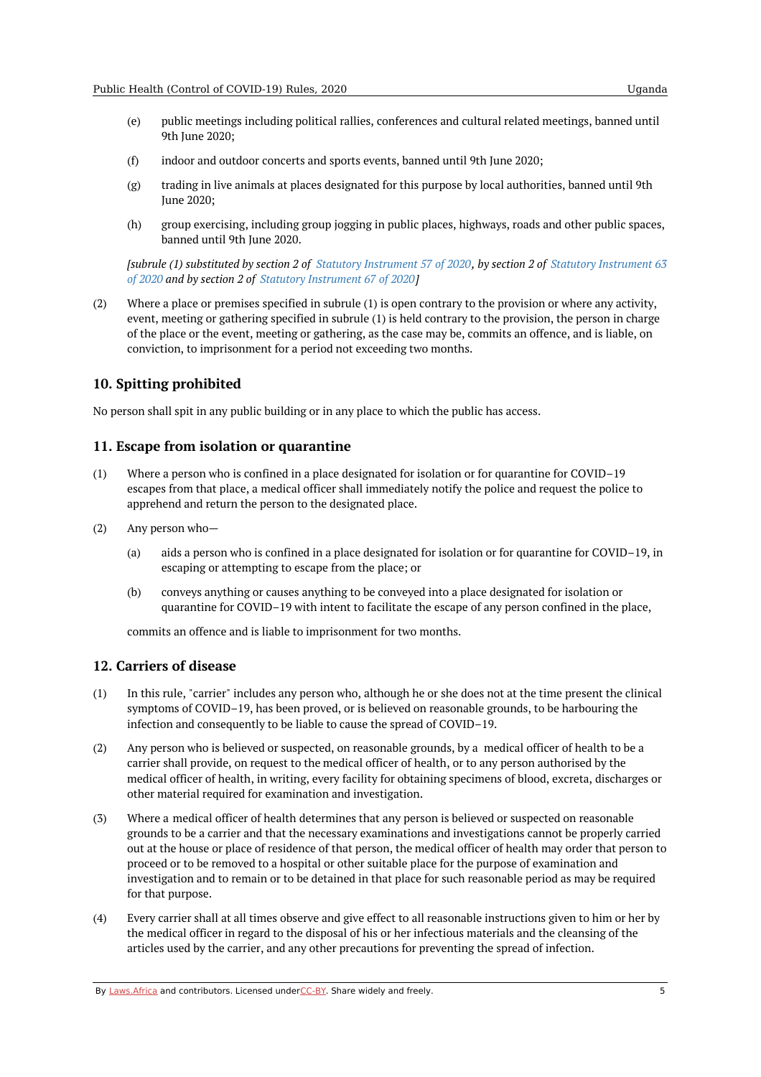- (e) public meetings including political rallies, conferences and cultural related meetings, banned until 9th June 2020;
- (f) indoor and outdoor concerts and sports events, banned until 9th June 2020;
- (g) trading in live animals at places designated for this purpose by local authorities, banned until 9th June 2020;
- (h) group exercising, including group jogging in public places, highways, roads and other public spaces, banned until 9th June 2020.

[subrule (1) [substituted](https://africanlii.org/akn/ug/act/si/2020/63) by section 2 of Statutory [Instrument](https://africanlii.org/akn/ug/act/si/2020/57) 57 of 2020, by section 2 of Statutory Instrument 63 *of 2020 and by section 2 of Statutory [Instrument](https://africanlii.org/akn/ug/act/si/2020/67) 67 of 2020]*

(2) Where a place or premises specified in subrule (1) is open contrary to the provision or where any activity, event, meeting or gathering specified in subrule (1) is held contrary to the provision, the person in charge of the place or the event, meeting or gathering, as the case may be, commits an offence, and is liable, on conviction, to imprisonment for a period not exceeding two months.

### <span id="page-4-0"></span>**10. Spitting prohibited**

No person shall spit in any public building or in any place to which the public has access.

#### <span id="page-4-1"></span>**11. Escape from isolation or quarantine**

- (1) Where a person who is confined in a place designated for isolation or for quarantine for COVID–19 escapes from that place, a medical officer shall immediately notify the police and request the police to apprehend and return the person to the designated place.
- (2) Any person who—
	- (a) aids a person who is confined in a place designated for isolation or for quarantine for COVID–19, in escaping or attempting to escape from the place; or
	- (b) conveys anything or causes anything to be conveyed into a place designated for isolation or quarantine for COVID–19 with intent to facilitate the escape of any person confined in the place,

commits an offence and is liable to imprisonment for two months.

#### <span id="page-4-2"></span>**12. Carriers of disease**

- (1) In this rule, "carrier" includes any person who, although he or she does not at the time present the clinical symptoms of COVID–19, has been proved, or is believed on reasonable grounds, to be harbouring the infection and consequently to be liable to cause the spread of COVID–19.
- (2) Any person who is believed or suspected, on reasonable grounds, by a medical officer of health to be a carrier shall provide, on request to the medical officer of health, or to any person authorised by the medical officer of health, in writing, every facility for obtaining specimens of blood, excreta, discharges or other material required for examination and investigation.
- (3) Where a medical officer of health determines that any person is believed or suspected on reasonable grounds to be a carrier and that the necessary examinations and investigations cannot be properly carried out at the house or place of residence of that person, the medical officer of health may order that person to proceed or to be removed to a hospital or other suitable place for the purpose of examination and investigation and to remain or to be detained in that place for such reasonable period as may be required for that purpose.
- (4) Every carrier shall at all times observe and give effect to all reasonable instructions given to him or her by the medical officer in regard to the disposal of his or her infectious materials and the cleansing of the articles used by the carrier, and any other precautions for preventing the spread of infection.

By [Laws.Africa](https://edit.laws.africa/widgets/pdf-attribution) and contributors. Licensed und[erCC-B](https://edit.laws.africa/widgets/pdf-cc-by)Y. Share widely and freely.